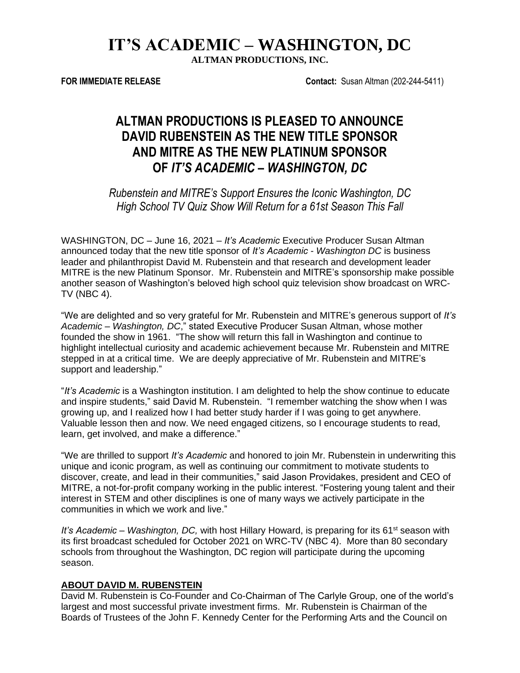# **IT'S ACADEMIC – WASHINGTON, DC**

**ALTMAN PRODUCTIONS, INC.**

**FOR IMMEDIATE RELEASE Contact:** Susan Altman (202-244-5411)

## **ALTMAN PRODUCTIONS IS PLEASED TO ANNOUNCE DAVID RUBENSTEIN AS THE NEW TITLE SPONSOR AND MITRE AS THE NEW PLATINUM SPONSOR OF** *IT'S ACADEMIC – WASHINGTON, DC*

*Rubenstein and MITRE's Support Ensures the Iconic Washington, DC High School TV Quiz Show Will Return for a 61st Season This Fall* 

WASHINGTON, DC – June 16, 2021 – *It's Academic* Executive Producer Susan Altman announced today that the new title sponsor of *It's Academic - Washington DC* is business leader and philanthropist David M. Rubenstein and that research and development leader MITRE is the new Platinum Sponsor. Mr. Rubenstein and MITRE's sponsorship make possible another season of Washington's beloved high school quiz television show broadcast on WRC-TV (NBC 4).

"We are delighted and so very grateful for Mr. Rubenstein and MITRE's generous support of *It's Academic – Washington, DC*," stated Executive Producer Susan Altman, whose mother founded the show in 1961. "The show will return this fall in Washington and continue to highlight intellectual curiosity and academic achievement because Mr. Rubenstein and MITRE stepped in at a critical time. We are deeply appreciative of Mr. Rubenstein and MITRE's support and leadership."

"*It's Academic* is a Washington institution. I am delighted to help the show continue to educate and inspire students," said David M. Rubenstein. "I remember watching the show when I was growing up, and I realized how I had better study harder if I was going to get anywhere. Valuable lesson then and now. We need engaged citizens, so I encourage students to read, learn, get involved, and make a difference."

"We are thrilled to support *It's Academic* and honored to join Mr. Rubenstein in underwriting this unique and iconic program, as well as continuing our commitment to motivate students to discover, create, and lead in their communities," said Jason Providakes, president and CEO of MITRE, a not-for-profit company working in the public interest. "Fostering young talent and their interest in STEM and other disciplines is one of many ways we actively participate in the communities in which we work and live."

It's Academic – Washington, DC, with host Hillary Howard, is preparing for its 61<sup>st</sup> season with its first broadcast scheduled for October 2021 on WRC-TV (NBC 4). More than 80 secondary schools from throughout the Washington, DC region will participate during the upcoming season.

#### **ABOUT DAVID M. RUBENSTEIN**

David M. Rubenstein is Co-Founder and Co-Chairman of The Carlyle Group, one of the world's largest and most successful private investment firms. Mr. Rubenstein is Chairman of the Boards of Trustees of the John F. Kennedy Center for the Performing Arts and the Council on